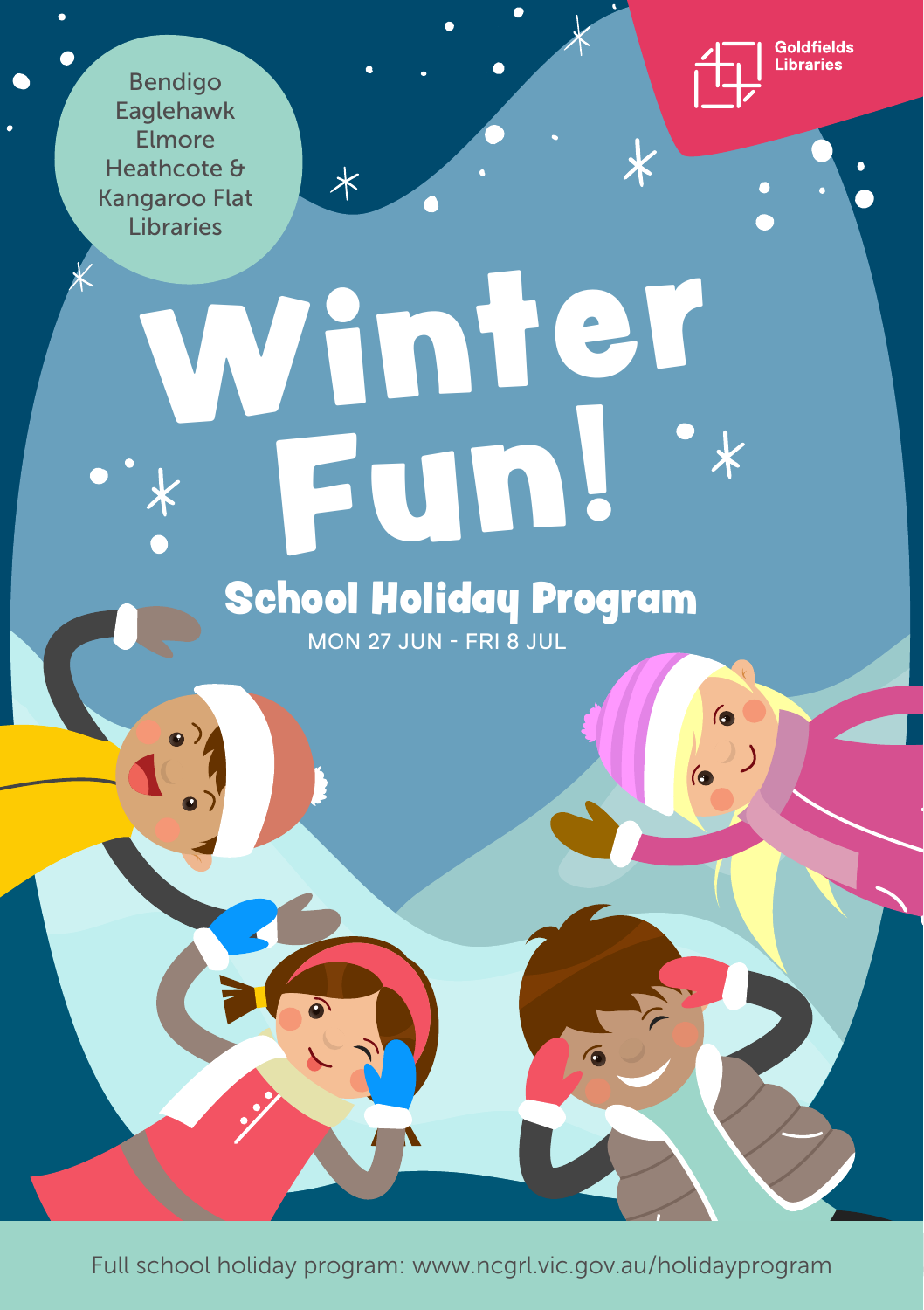Bendigo Eaglehawk Elmore Heathcote & Kangaroo Flat Libraries



 $\bullet$ 

 $\overline{\mathbf{6}}$ 

 $\epsilon$ 

 $\overline{\textbf{x}}$ 

Winter Fun! School Holiday Program

 $\overline{\mathbf{X}}$ 

MON 27 JUN - FRI 8 JUL

Full school holiday program: www.ncgrl.vic.gov.au/holidayprogram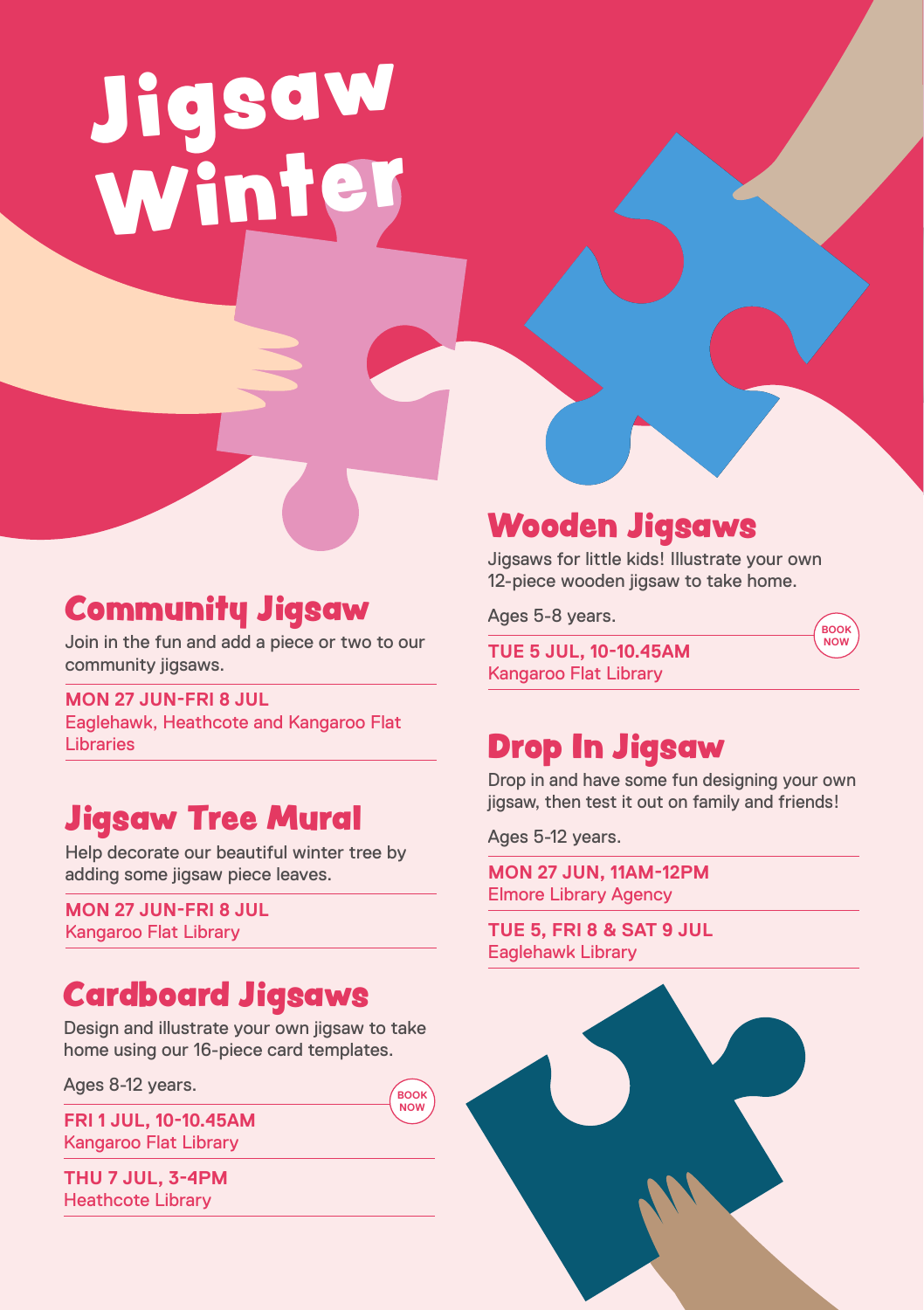# Jigsaw<br>Winter Love

### Community Jigsaw

Join in the fun and add a piece or two to our community jigsaws.

**MON 27 JUN-FRI 8 JUL** Eaglehawk, Heathcote and Kangaroo Flat Libraries

### Jigsaw Tree Mural

Help decorate our beautiful winter tree by adding some jigsaw piece leaves.

**MON 27 JUN-FRI 8 JUL** Kangaroo Flat Library

### Cardboard Jigsaws

Design and illustrate your own jigsaw to take home using our 16-piece card templates.

> **BOOK NOW**

Ages 8-12 years.

**FRI 1 JUL, 10-10.45AM**  Kangaroo Flat Library

**THU 7 JUL, 3-4PM** Heathcote Library

### Wooden Jigsaws

Jigsaws for little kids! Illustrate your own 12-piece wooden jigsaw to take home.

> **BOOK NOW**

Ages 5-8 years.

**TUE 5 JUL, 10-10.45AM** Kangaroo Flat Library

### Drop In Jigsaw

Drop in and have some fun designing your own jigsaw, then test it out on family and friends!

Ages 5-12 years.

**MON 27 JUN, 11AM-12PM**  Elmore Library Agency

**TUE 5, FRI 8 & SAT 9 JUL** Eaglehawk Library

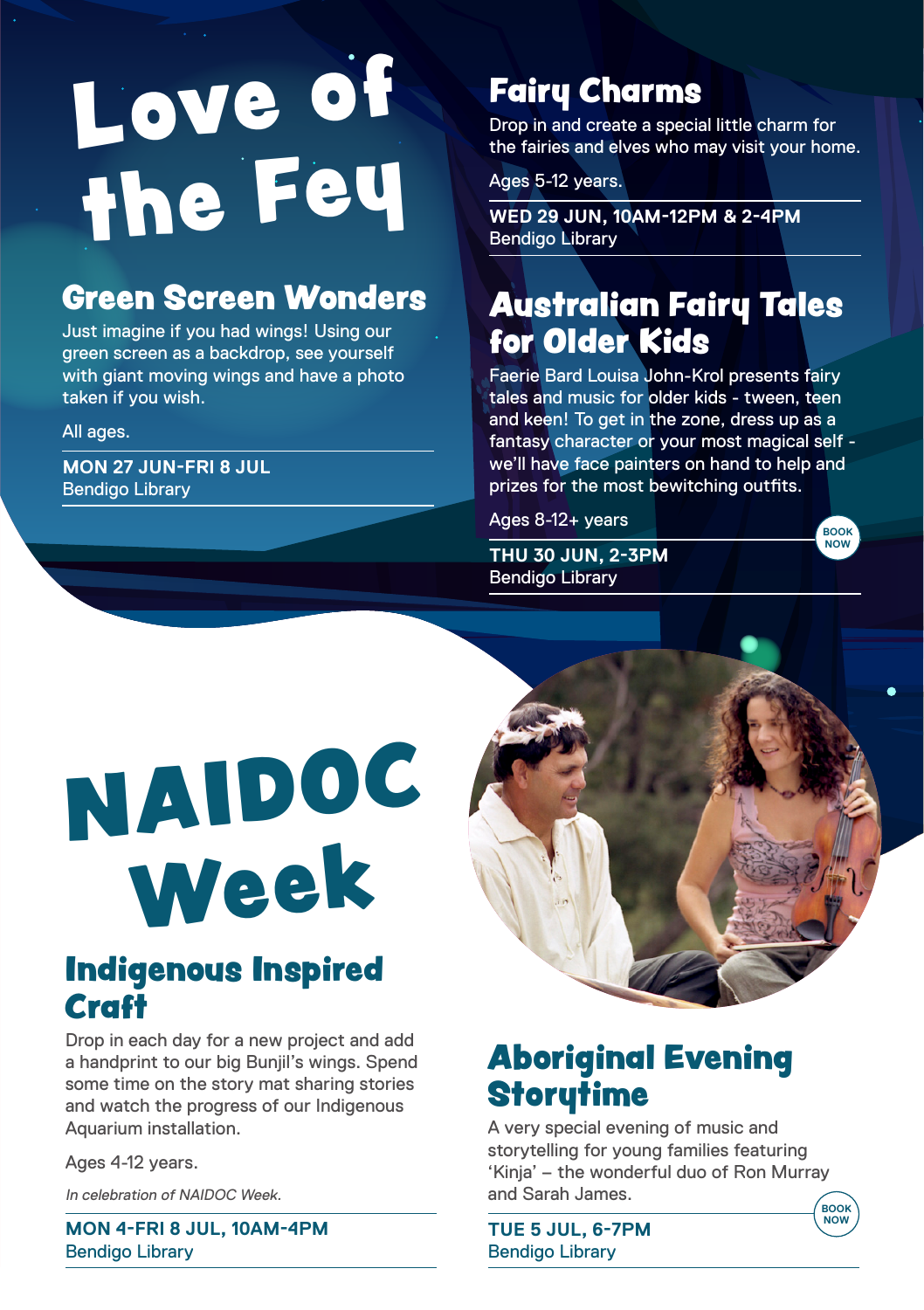# Love of the Fey

### Green Screen Wonders

Just imagine if you had wings! Using our green screen as a backdrop, see yourself with giant moving wings and have a photo taken if you wish.

All ages.

**MON 27 JUN-FRI 8 JUL** Bendigo Library

### Fairy Charms

Drop in and create a special little charm for the fairies and elves who may visit your home.

Ages 5-12 years.

**WED 29 JUN, 10AM-12PM & 2-4PM** Bendigo Library

### Australian Fairy Tales for Older Kids

Faerie Bard Louisa John-Krol presents fairy tales and music for older kids - tween, teen and keen! To get in the zone, dress up as a fantasy character or your most magical self we'll have face painters on hand to help and prizes for the most bewitching outfits.

Ages 8-12+ years

**THU 30 JUN, 2-3PM** Bendigo Library



## NAIDOC Week

### Indigenous Inspired **Craft**

Drop in each day for a new project and add a handprint to our big Bunjil's wings. Spend some time on the story mat sharing stories and watch the progress of our Indigenous Aquarium installation.

Ages 4-12 years.

In celebration of NAIDOC Week.

**MON 4-FRI 8 JUL, 10AM-4PM** Bendigo Library

### Aboriginal Evening **Storutime**

A very special evening of music and storytelling for young families featuring 'Kinja' – the wonderful duo of Ron Murray and Sarah James.

**TUE 5 JUL, 6-7PM** Bendigo Library